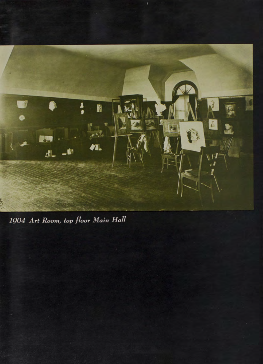

1904 Art Room, top floor Main Hall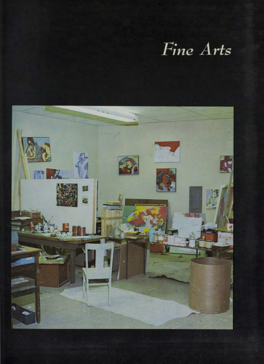## Fine Arts

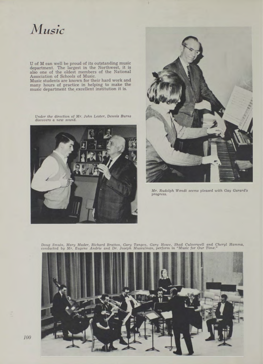## *jMusic*

U of M can well be proud of its outstanding music department. The largest in the Northwest, it is also one of the oldest members of the National Association of Schools of Music.

Music students are known for their hard work and<br>many hours of practice in helping to make the<br>music department the\_excellent institution it is.



*Under the direction of Mr. John L ester, D ennis B urns discovers a new sound.*



*Mr. Rudolph Wendt seems pleased with Gay Garard's progress.*

Doug Smuin, Mary Mader, Richard Bratton, Gary Tangen, Gary Howe, Shad Culverwell and Cheryl Hamma<br>conducted by Mr. Eugene Andrie and Dr. Joseph Mussulman, perform in "Music for Our Time."



*100*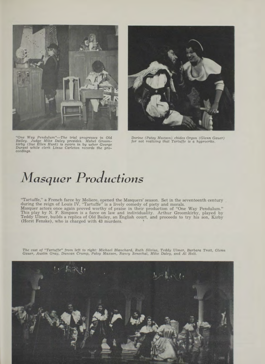

"One Way Pendulum"—The trial progresses in Old<br>Bailey. Judge Mike Daley presides. Mabel Groom-<br>Kirby (Sue Ellen Hunt) is sworn in by usher George for not realizing that Tartuffe is a hyprocrite.<br>Eirby (Sue Ellen Hunt) is s



## *Masquer Productions*

"Tartuffe," a French farce by Moliere, opened the M asquers' season. Set in the seventeenth century during the reign of Louis IV, "T artuffe" is a lively comedy of piety and morals. Masquer actors once again proved worthy of praise in their production of "One Way Pendulum."<br>This play by N. F. Simpson is a farce on law and individuality. Arthur Groomkirby, played by<br>Teddy Ulmer, builds a replica of Old

The cast of "Tartuffe" from left to right: Michael Blanchard, Ruth Silvius, Teddy Ulmer, Barbara Trott, Glenn<br>Gauer, Austin Gray, Duncan Crump, Patsy Maxson, Nancy Senechal, Mike Daley, and Al Holt.

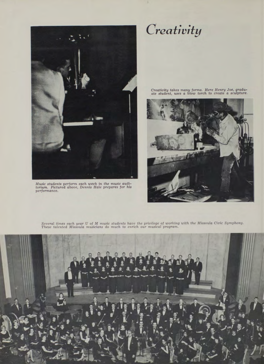

*Music students perform each week in the music audi-*<br>*torium. Pictured above, Dennis Hale prepares for his<br>performance.* 

*Creativity*

*C reativity takes m a n y form s. Here H enry Joe, gradu-ate student, uses a blow torch to create a sculpture.*



Several times each year U of M music students have the privilege of working with the Missoula Civic Symphony.<br>These talented Missoula musicians do much to enrich our musical program.